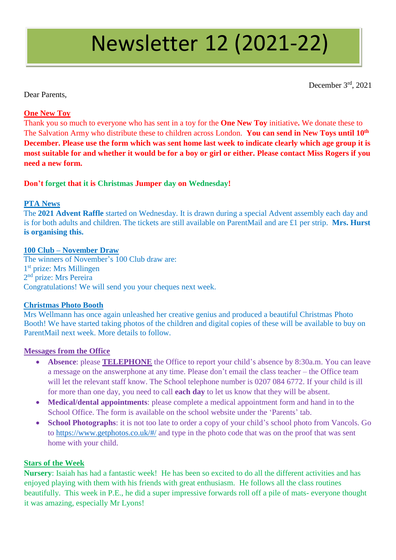# Newsletter 12 (2021-22)

December 3rd , 2021

Dear Parents,

## **One New Toy**

Thank you so much to everyone who has sent in a toy for the **One New Toy** initiative**.** We donate these to The Salvation Army who distribute these to children across London. **You can send in New Toys until 10th December. Please use the form which was sent home last week to indicate clearly which age group it is most suitable for and whether it would be for a boy or girl or either. Please contact Miss Rogers if you need a new form.**

### **Don't forget that it is Christmas Jumper day on Wednesday!**

#### **PTA News**

The **2021 Advent Raffle** started on Wednesday. It is drawn during a special Advent assembly each day and is for both adults and children. The tickets are still available on ParentMail and are £1 per strip. **Mrs. Hurst is organising this.**

#### **100 Club – November Draw**

The winners of November's 100 Club draw are: 1<sup>st</sup> prize: Mrs Millingen 2<sup>nd</sup> prize: Mrs Pereira Congratulations! We will send you your cheques next week.

#### **Christmas Photo Booth**

Mrs Wellmann has once again unleashed her creative genius and produced a beautiful Christmas Photo Booth! We have started taking photos of the children and digital copies of these will be available to buy on ParentMail next week. More details to follow.

#### **Messages from the Office**

- **Absence**: please **TELEPHONE** the Office to report your child's absence by 8:30a.m. You can leave a message on the answerphone at any time. Please don't email the class teacher – the Office team will let the relevant staff know. The School telephone number is 0207 084 6772. If your child is ill for more than one day, you need to call **each day** to let us know that they will be absent.
- **Medical/dental appointments**: please complete a medical appointment form and hand in to the School Office. The form is available on the school website under the 'Parents' tab.
- **School Photographs**: it is not too late to order a copy of your child's school photo from Vancols. Go to<https://www.getphotos.co.uk/#/> and type in the photo code that was on the proof that was sent home with your child.

#### **Stars of the Week**

**Nursery**: Isaiah has had a fantastic week! He has been so excited to do all the different activities and has enjoyed playing with them with his friends with great enthusiasm. He follows all the class routines beautifully. This week in P.E., he did a super impressive forwards roll off a pile of mats- everyone thought it was amazing, especially Mr Lyons!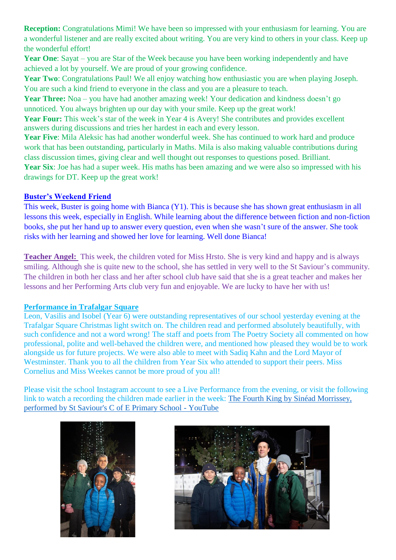**Reception:** Congratulations Mimi! We have been so impressed with your enthusiasm for learning. You are a wonderful listener and are really excited about writing. You are very kind to others in your class. Keep up the wonderful effort!

Year One: Sayat – you are Star of the Week because you have been working independently and have achieved a lot by yourself. We are proud of your growing confidence.

**Year Two**: Congratulations Paul! We all enjoy watching how enthusiastic you are when playing Joseph. You are such a kind friend to everyone in the class and you are a pleasure to teach.

**Year Three:** Noa – you have had another amazing week! Your dedication and kindness doesn't go unnoticed. You always brighten up our day with your smile. Keep up the great work!

Year Four: This week's star of the week in Year 4 is Avery! She contributes and provides excellent answers during discussions and tries her hardest in each and every lesson.

**Year Five**: Mila Aleksic has had another wonderful week. She has continued to work hard and produce work that has been outstanding, particularly in Maths. Mila is also making valuable contributions during class discussion times, giving clear and well thought out responses to questions posed. Brilliant.

Year Six: Joe has had a super week. His maths has been amazing and we were also so impressed with his drawings for DT. Keep up the great work!

#### **Buster's Weekend Friend**

This week, Buster is going home with Bianca (Y1). This is because she has shown great enthusiasm in all lessons this week, especially in English. While learning about the difference between fiction and non-fiction books, she put her hand up to answer every question, even when she wasn't sure of the answer. She took risks with her learning and showed her love for learning. Well done Bianca!

**Teacher Angel:** This week, the children voted for Miss Hrsto. She is very kind and happy and is always smiling. Although she is quite new to the school, she has settled in very well to the St Saviour's community. The children in both her class and her after school club have said that she is a great teacher and makes her lessons and her Performing Arts club very fun and enjoyable. We are lucky to have her with us!

#### **Performance in Trafalgar Square**

Leon, Vasilis and Isobel (Year 6) were outstanding representatives of our school yesterday evening at the Trafalgar Square Christmas light switch on. The children read and performed absolutely beautifully, with such confidence and not a word wrong! The staff and poets from The Poetry Society all commented on how professional, polite and well-behaved the children were, and mentioned how pleased they would be to work alongside us for future projects. We were also able to meet with Sadiq Kahn and the Lord Mayor of Westminster. Thank you to all the children from Year Six who attended to support their peers. Miss Cornelius and Miss Weekes cannot be more proud of you all!

Please visit the school Instagram account to see a Live Performance from the evening, or visit the following link to watch a recording the children made earlier in the week: [The Fourth King by Sinéad Morrissey,](https://www.youtube.com/watch?v=LIReWrz1UWU)  [performed by St Saviour's C of E Primary School -](https://www.youtube.com/watch?v=LIReWrz1UWU) YouTube